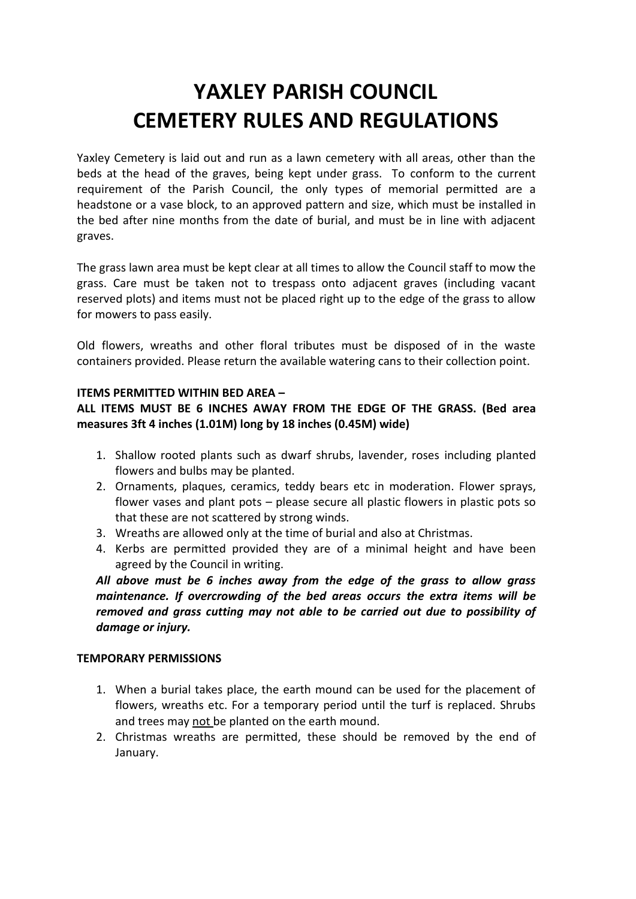# **YAXLEY PARISH COUNCIL CEMETERY RULES AND REGULATIONS**

Yaxley Cemetery is laid out and run as a lawn cemetery with all areas, other than the beds at the head of the graves, being kept under grass. To conform to the current requirement of the Parish Council, the only types of memorial permitted are a headstone or a vase block, to an approved pattern and size, which must be installed in the bed after nine months from the date of burial, and must be in line with adjacent graves.

The grass lawn area must be kept clear at all times to allow the Council staff to mow the grass. Care must be taken not to trespass onto adjacent graves (including vacant reserved plots) and items must not be placed right up to the edge of the grass to allow for mowers to pass easily.

Old flowers, wreaths and other floral tributes must be disposed of in the waste containers provided. Please return the available watering cans to their collection point.

## **ITEMS PERMITTED WITHIN BED AREA –**

**ALL ITEMS MUST BE 6 INCHES AWAY FROM THE EDGE OF THE GRASS. (Bed area measures 3ft 4 inches (1.01M) long by 18 inches (0.45M) wide)**

- 1. Shallow rooted plants such as dwarf shrubs, lavender, roses including planted flowers and bulbs may be planted.
- 2. Ornaments, plaques, ceramics, teddy bears etc in moderation. Flower sprays, flower vases and plant pots – please secure all plastic flowers in plastic pots so that these are not scattered by strong winds.
- 3. Wreaths are allowed only at the time of burial and also at Christmas.
- 4. Kerbs are permitted provided they are of a minimal height and have been agreed by the Council in writing.

*All above must be 6 inches away from the edge of the grass to allow grass maintenance. If overcrowding of the bed areas occurs the extra items will be removed and grass cutting may not able to be carried out due to possibility of damage or injury.*

#### **TEMPORARY PERMISSIONS**

- 1. When a burial takes place, the earth mound can be used for the placement of flowers, wreaths etc. For a temporary period until the turf is replaced. Shrubs and trees may not be planted on the earth mound.
- 2. Christmas wreaths are permitted, these should be removed by the end of January.